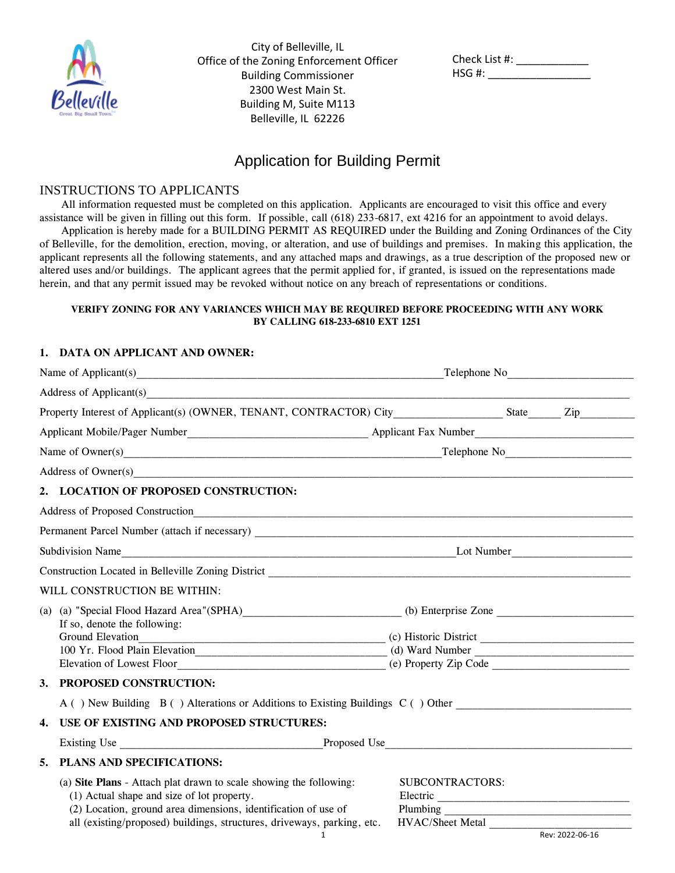

City of Belleville, IL Office of the Zoning Enforcement Officer Building Commissioner 2300 West Main St. Building M, Suite M113 Belleville, IL 62226

| Check List #: |  |
|---------------|--|
| $HSG#$ :      |  |

# Application for Building Permit

## INSTRUCTIONS TO APPLICANTS

All information requested must be completed on this application. Applicants are encouraged to visit this office and every assistance will be given in filling out this form. If possible, call (618) 233-6817, ext 4216 for an appointment to avoid delays. Application is hereby made for a BUILDING PERMIT AS REQUIRED under the Building and Zoning Ordinances of the City of Belleville, for the demolition, erection, moving, or alteration, and use of buildings and premises. In making this application, the applicant represents all the following statements, and any attached maps and drawings, as a true description of the proposed new or altered uses and/or buildings. The applicant agrees that the permit applied for, if granted, is issued on the representations made herein, and that any permit issued may be revoked without notice on any breach of representations or conditions.

#### **VERIFY ZONING FOR ANY VARIANCES WHICH MAY BE REQUIRED BEFORE PROCEEDING WITH ANY WORK BY CALLING 618-233-6810 EXT 1251**

### **1. DATA ON APPLICANT AND OWNER:**

|                                                                                                                                                                                                                                                               | Telephone No<br><u>International</u>      |
|---------------------------------------------------------------------------------------------------------------------------------------------------------------------------------------------------------------------------------------------------------------|-------------------------------------------|
| Address of Applicant(s)                                                                                                                                                                                                                                       |                                           |
|                                                                                                                                                                                                                                                               |                                           |
|                                                                                                                                                                                                                                                               |                                           |
|                                                                                                                                                                                                                                                               |                                           |
| Address of Owner(s)                                                                                                                                                                                                                                           |                                           |
| 2. LOCATION OF PROPOSED CONSTRUCTION:                                                                                                                                                                                                                         |                                           |
| Address of Proposed Construction<br><u>Land Construction</u>                                                                                                                                                                                                  |                                           |
|                                                                                                                                                                                                                                                               |                                           |
| Subdivision Name                                                                                                                                                                                                                                              |                                           |
|                                                                                                                                                                                                                                                               |                                           |
| WILL CONSTRUCTION BE WITHIN:                                                                                                                                                                                                                                  |                                           |
| If so, denote the following:<br>Ground Elevation                                                                                                                                                                                                              |                                           |
| PROPOSED CONSTRUCTION:<br>3.                                                                                                                                                                                                                                  |                                           |
| A () New Building B () Alterations or Additions to Existing Buildings C () Other                                                                                                                                                                              |                                           |
| USE OF EXISTING AND PROPOSED STRUCTURES:<br>4.                                                                                                                                                                                                                |                                           |
|                                                                                                                                                                                                                                                               |                                           |
| PLANS AND SPECIFICATIONS:<br>5.                                                                                                                                                                                                                               |                                           |
| (a) Site Plans - Attach plat drawn to scale showing the following:<br>(1) Actual shape and size of lot property.<br>(2) Location, ground area dimensions, identification of use of<br>all (existing/proposed) buildings, structures, driveways, parking, etc. | <b>SUBCONTRACTORS:</b><br>Rev: 2022-06-16 |